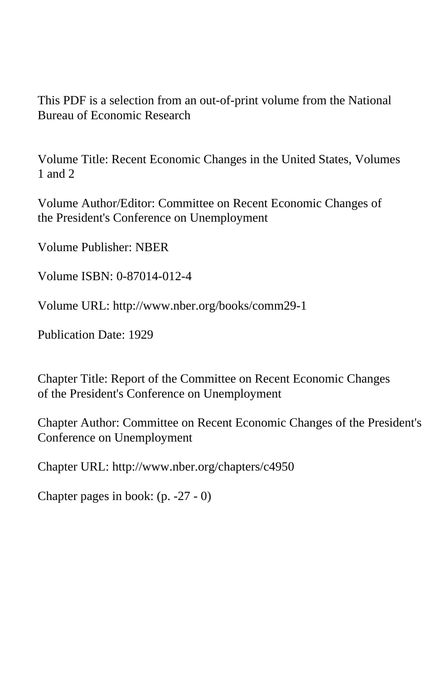This PDF is a selection from an out-of-print volume from the National Bureau of Economic Research

Volume Title: Recent Economic Changes in the United States, Volumes 1 and 2

Volume Author/Editor: Committee on Recent Economic Changes of the President's Conference on Unemployment

Volume Publisher: NBER

Volume ISBN: 0-87014-012-4

Volume URL: http://www.nber.org/books/comm29-1

Publication Date: 1929

Chapter Title: Report of the Committee on Recent Economic Changes of the President's Conference on Unemployment

Chapter Author: Committee on Recent Economic Changes of the President's Conference on Unemployment

Chapter URL: http://www.nber.org/chapters/c4950

Chapter pages in book: (p. -27 - 0)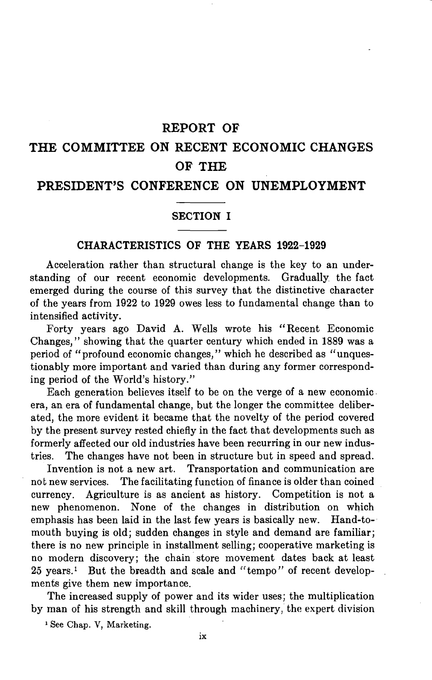## REPORT OF

# THE COMMITTEE ON RECENT ECONOMIC CHANGES OF THE

## PRESIDENT'S CONFERENCE ON UNEMPLOYMENT

## SECTION I

## CHARACTERISTICS OF THE YEARS 1922-1929

Acceleration rather than structural change is the key to an understanding of our recent economic developments. Gradually, the fact emerged during the course of this survey that the distinctive character of the years from 1922 to 1929 owes less to fundamental change than to intensified activity.

Forty years ago David A. Wells wrote his "Recent Economic Changes," showing that the quarter century which ended in 1889 was a period of "profound economic changes," which he described as "unquestionably more important and varied than during any former corresponding period of the World's history."

Each generation believes itself to be on the verge of a new economic era, an era of fundamental change, but the longer the committee deliberated, the more evident it became that the novelty of the period covered by the present survey rested chiefly in the fact that developments such as formerly affected our old industries have been recurring in our new industries. The changes have not been in structure but in speed and spread.

Invention is not a new art. Transportation and communication are not new services. The facilitating function of finance is older than coined currency. Agriculture is as ancient as history. Competition is not a new phenomenon. None of the changes in distribution on which emphasis has been laid in the last few years is basically new. Hand-tomouth buying is old; sudden changes in style and demand are familiar; there is no new principle in installment selling; cooperative marketing is no modern discovery; the chain store movement dates back at least 25 years.' But the breadth and scale and "tempo" of recent developments give them new importance.

The increased supply of power and its wider uses; the multiplication by man of his strength and skill through machinery, the expert division

'See Chap. V, Marketing.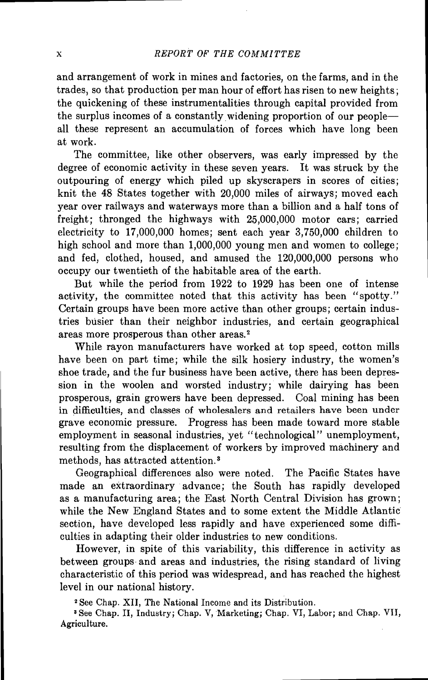and arrangement of work in mines and factories, on the farms, and in the trades, so that production per man hour of effort has risen to new heights; the quickening of these instrumentalities through capital provided from the surplus incomes of a constantly widening proportion of our people all these represent an accumulation of forces which have long been at work.

The committee, like other observers, was early impressed by the degree of economic activity in these seven years. It was struck by the outpouring of energy which piled up skyscrapers in scores of cities; knit the 48 States together with 20,000 miles of airways; moved each year over railways and waterways more than a billion and a half tons of freight; thronged the highways with 25,000,000 motor cars; carried electricity to 17,000,000 homes; sent each year 3,750,000 children to high school and more than 1,000,000 young men and women to college; and fed, clothed, housed, and amused the 120,000,000 persons who occupy our twentieth of the habitable area of the earth.

But while the period from 1922 to 1929 has been one of intense activity, the committee noted that this activity has been "spotty." Certain groups have been more active than other groups; certain industries busier than their neighbor industries, and certain geographical areas more prosperous than other areas.2

While rayon manufacturers have worked at top speed, cotton mills have been on part time; while the silk hosiery industry, the women's shoe trade, and the fur business have been active, there has been depression in the woolen and worsted industry; while dairying has been prosperous, grain growers have been depressed. Coal mining has been in difficulties, and classes of wholesalers and retailers have been under grave economic pressure. Progress has been made toward more stable employment in seasonal industries, yet "technological" unemployment, resulting from the displacement of workers by improved machinery and methods, has attracted attention.3

Geographical differences also were noted. The Pacific States have made an extraordinary advance; the South has rapidly developed as a manufacturing area; the East North Central Division has grown; while the New England States and to some extent the Middle Atlantic section, have developed less rapidly and have experienced some difficulties in adapting their older industries to new conditions.

However, in spite of this variability, this difference in activity as between groups and areas and industries, the rising standard of living characteristic of this period was widespread, and has reached the highest level in our national history.

<sup>2</sup> See Chap. XII, The National Income and its Distribution.

See Chap. II, Industry; Chap. V, Marketing; Chap. VI, Labor; and Chap. VII, Agriculture.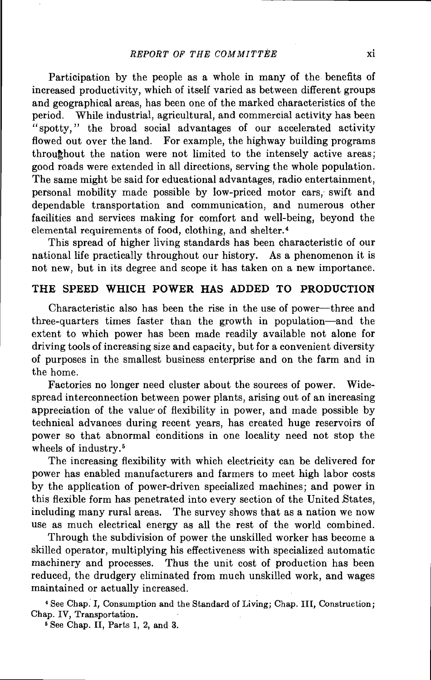Participation by the people as a whole in many of the benefits of increased productivity, which of itself varied as between different groups and geographical areas, has been one of the marked characteristics of the period. While industrial, agricultural, and commercial activity has been "spotty," the broad social advantages of our accelerated activity flowed out over the land. For example, the highway building programs throughout the nation were not limited to the intensely active areas; good roads were extended in all directions, serving the whole population. The same might be said for educational advantages, radio entertainment, personal mobility made possible by low-priced motor cars, swift and dependable transportation and communication, and numerous other facilities and services making for comfort and well-being, beyond the elemental requirements of food, clothing, and shelter.4

This spread of higher living standards has been characteristic of our national life practically throughout our history. As a phenomenon it is not new, but in its degree and scope it has taken on a new importance.

## THE SPEED WHICH POWER HAS ADDED TO PRODUCTION

Characteristic also has been the rise in the use of power—three and three-quarters times faster than the growth in population—and the extent to which power has been made readily available not alone for driving tools of increasing size and capacity, but for a convenient diversity of purposes in the smallest business enterprise and on the farm and in the home.

Factories no longer need cluster about the sources of power. Widespread interconnection between power plants, arising out of an increasing appreciation of the value' of flexibility in power, and made possible by technical advances during recent years, has created huge reservoirs of power so that abnormal conditions in one locality need not stop the wheels of industry.<sup>5</sup>

The increasing flexibility with which electricity can be delivered for power has enabled manufacturers and farmers to meet high labor costs by the application of power-driven specialized machines; and power in this flexible form has penetrated into every section of the United .States, including many rural areas. The survey shows that as a nation we now use as much electrical energy as all the rest of the world combined.

Through the subdivision of power the unskilled worker has become a skilled operator, multiplying his effectiveness with specialized automatic machinery and processes. Thus the unit cost of production has been reduced, the drudgery eliminated from much unskilled work, and wages maintained or actually increased.

See Chap. I, Consumption and the Standard of Living; Chap. III, Construction; Chap. IV, Transportation.

See Chap. TI, Parts 1, 2, and 3.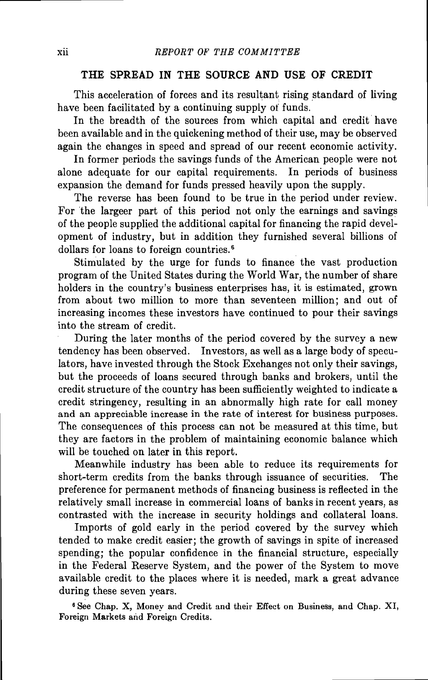## THE SPREAD IN THE SOURCE AND USE OF CREDIT

This acceleration of forces and its resultant rising standard of living have been facilitated by a continuing supply of funds.

In the breadth of the sources from which capital and credit have been available and in the quickening method of their use, may be observed again the changes in speed and spread of our recent economic activity.

In former periods the savings funds of the American people were not alone adequate for our capital requirements. In periods of business expansion the demand for funds pressed heavily upon the supply.

The reverse has been found to be true in the period under review. For the largeer part of this period not only the earnings and savings of the people supplied the additional capital for financing the rapid development of industry, but in addition they furnished several billions of dollars for loans to foreign countries.<sup>6</sup>

Stimulated by the urge for funds to finance the vast production program of the United States during the World War, the number of share holders in the country's business enterprises has, it is estimated, grown from about two million to more than seventeen million; and out of increasing incomes these investors have continued to pour their savings into the stream of credit.

• During the later months of the period covered by the survey a new tendency has been observed. Investors, as well as a large body of speculators, have invested through the Stock Exchanges not only their savings, but the proceeds of loans secured through banks and brokers, until the credit structure of the country has been sufficiently weighted to indicate a credit stringency, resulting in an abnormally high rate for call money and an appreciable increase in the rate of interest for business purposes. The consequences of this process can not be measured at this time, but they are factors in the problem of maintaining economic balance which will be touched on later in this report.

Meanwhile industry has been able to reduce its requirements for short-term credits from the banks through issuance of securities. The preference for permanent methods of financing business is reflected in the relatively small increase in commercial loans of banks in recent years, as contrasted with the increase in security holdings and collateral loans.

Imports of gold early in the period covered by the survey which tended to make credit easier; the growth of savings in spite of increased spending; the popular confidence in the financial structure, especially in the Federal Reserve System, and the power of the System to move available credit to the places where it is needed, mark a great advance during these seven years.

<sup>6</sup> See Chap. X, Money and Credit and their Effect on Business, and Chap. XI, Foreign Markets and Foreign Credits.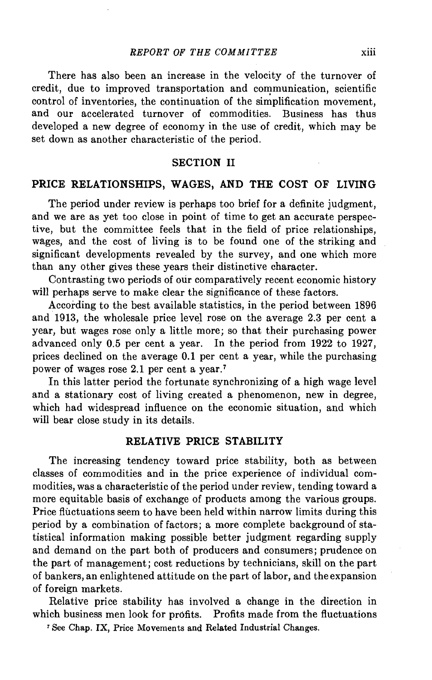There has also been an increase in the velocity of the turnover of credit, due to improved transportation and communication, scientific control of inventories, the continuation of the simplification movement, and our accelerated turnover of commodities. Business has thus developed a new degree of economy in the use of credit, which may be set down as another characteristic of the period.

### SECTION II

#### PRICE RELATIONSHIPS, WAGES, AND THE COST OF LIVING

The period under review is perhaps too brief for a definite judgment, and we are as yet too close in point of time to get an accurate perspective, but the committee feels that in the field of price relationships, wages, and the cost of living is to be found one of the striking and significant developments revealed by the survey, and one which more than any other gives these years their distinctive character.

Contrasting two periods of our comparatively recent economic history will perhaps serve to make clear the significance of these factors.

According to the best available statistics, in the period between 1896 and 1913, the wholesale price level rose on the average 2.3 per cent a year, but wages rose only a little more; so that their purchasing power advanced only 0.5 per cent a year. In the period from 1922 to 1927, prices declined on the average 0.1 per cent a year, while the purchasing power of wages rose 2.1 per cent a year.7

In this latter period the fortunate synchronizing of a high wage level and a stationary cost of living created a phenomenon, new in degree, which had widespread influence on the economic situation, and which will bear close study in its details.

## RELATIVE PRICE STABILITY

The increasing tendency toward price stability, both as between classes of commodities and in the price experience of individual commodities, was a characteristic of the period under review, tending toward a more equitable basis of exchange of products among the various groups. Price fluctuations seem to have been held within narrow limits during this period by a combination of factors; a more complete background of statistical information making possible better judgment regarding supply and demand on the part both of producers and consumers; prudence on the part of management; cost reductions by technicians, skill on the part of bankers, an enlightened attitude on the part of labor, and the expansion of foreign markets.

Relative price stability has involved a change in the direction in which business men look for profits. Profits made from the fluctuations

<sup>7</sup> See Chap. IX, Price Movements and Related Industrial Changes.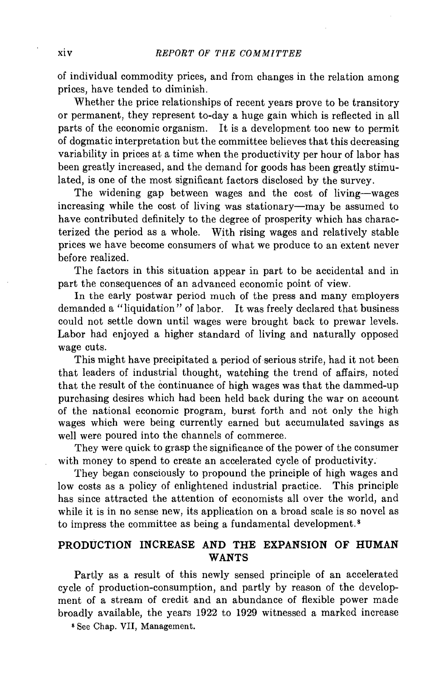of individual commodity prices, and from changes in the relation among prices, have tended to diminish.

Whether the price relationships of recent years prove to be transitory or permanent, they represent to-day a huge gain which is reflected in all parts of the economic organism. It is a development too new to permit of dogmatic interpretation but the committee believes that this decreasing variability in prices at a time when the productivity per hour of labor has been greatly increased, and the demand for goods has been greatly stimulated, is one of the most significant factors disclosed by the survey.

The widening gap between wages and the cost of living—wages increasing while the cost of living was stationary—may be assumed to have contributed definitely to the degree of prosperity which has characterized the period as a whole. With rising wages and relatively stable prices we have become consumers of what we produce to an extent never before realized.

The factors in this situation appear in part to be accidental and in part the consequences of an advanced economic point of view.

In the early postwar period much of the press and many employers demanded a "liquidation" of labor. It was freely declared that business could not settle down until wages were brought back to prewar levels. Labor had enjoyed a higher standard of living and naturally opposed wage cuts.

This might have precipitated a period of serious strife, had it not been that leaders of industrial thought, watching the trend of affairs, noted that the result of the éontinuance of high wages was that the dammed-up purchasing desires which had been held back during the war on account of the national economic program, burst forth and not only the high wages which were being currently earned but accumulated savings as well were poured into the channels of commerce.

They were quick to grasp the significance of the power of the consumer with money to spend to create an accelerated cycle of productivity.

They began consciously to propound the principle of high wages and low costs as a policy of enlightened industrial practice. This principle has since attracted the attention of economists all over the world, and while it is in no sense new, its application on a broad scale is so novel as to impress the committee as being a fundamental development.8

## PRODUCTION INCREASE AND THE EXPANSION OF HUMAN WANTS

Partly as a result of this newly sensed principle of an accelerated cycle of production-consumption, and partly by reason of the development of a stream of credit and an abundance of flexible power made broadly available, the years 1922 to 1929 witnessed a marked increase

<sup>S</sup> See Chap. VII, Management.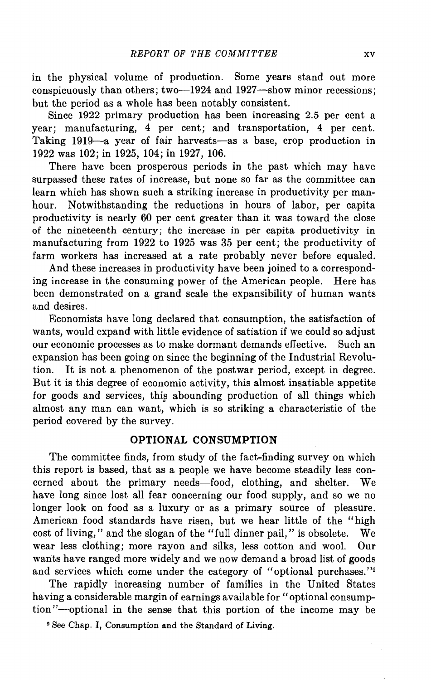in the physical volume of production. Some years stand out more conspicuously than others; two—1924 and 1927—show minor recessions; but the period as a whole has been notably consistent.

Since 1922 primary production has been increasing 2.5 per cent a year; manufacturing, 4 per cent; and transportation, 4 per cent. Taking 1919—a year of fair harvests—as a base, crop production in 1922 was 102; in 1925, 104; in 1927, 106.

There have been prosperous periods in the past which may have surpassed these rates of increase, but none so far as the committee can learn which has shown such a striking increase in productivity per manhour. Notwithstanding the reductions in hours of labor, per capita productivity is nearly 60 per cent greater than it was toward the close of the nineteenth century; the increase in per capita productivity in manufacturing from 1922 to 1925 was 35 per cent; the productivity of farm workers has increased at a rate probably never before equaled.

And these increases in productivity have been joined to a corresponding increase in the consuming power of the American people. Here has been demonstrated on a grand scale the expansibility of human wants and desires.

Economists have long declared that consumption, the satisfaction of wants, would expand with little evidence of satiation if we could so adjust our economic processes as to make dormant demands effective. Such an expansion has been going on since the beginning of the Industrial Revolution. It is not a phenomenon of the postwar period, except in degree. But it is this degree of economic activity, this almost insatiable appetite for goods and services, this abounding production of all things which almost any man can want, which is so striking a characteristic of the period covered by the survey.

## OPTIONAL CONSUMPTION

The committee finds, from study of the fact-finding survey on which this report is based, that as a people we have become steadily less concerned about the primary needs—food, clothing, and shelter. We have long since lost all fear concerning our food supply, and so we no longer look on food as a luxury or as a primary source of pleasure. American food standards have risen, but we hear little of the "high cost of living," and the slogan of the "full dinner pail," is obsolete. We wear less clothing; more rayon and silks, less cotton and wool. Our wants have ranged more widely and we now demand a broad list of goods and services which come under the category of "optional purchases."<sup>9</sup>

The rapidly increasing number of families in the United States having a considerable margin of earnings available for "optional consumption"—optional in the sense that this portion of the income may be

See Chap. I, Consumption and the Standard of Living.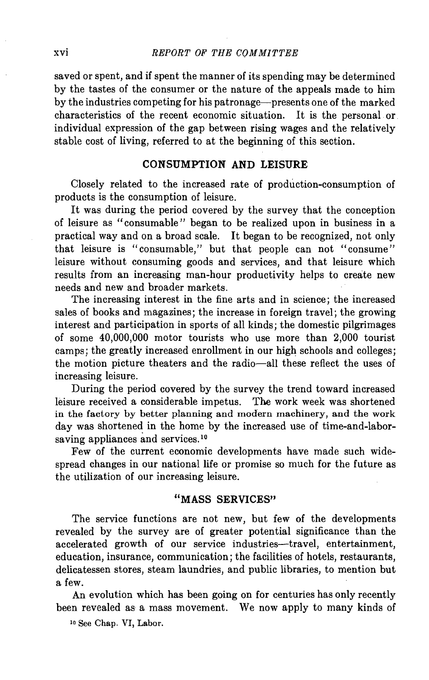saved or spent, and if spent the manner of its spending may be determined by the tastes of the consumer or the nature of the appeals made to him by the industries competing for his patronage—presents one of the marked characteristics of the recent economic situation. It is the personal or. individual expression of the gap between rising wages and the relatively stable cost of living, referred to at the beginning of this section.

## CONSUMPTION AND LEISURE

Closely related to the increased rate of production-consumption of products is the consumption of leisure.

It was during the period covered by the survey that the conception of leisure as "consumable" began to be realized upon in business in a practical way and on a broad scale. It began to be recognized, not only that leisure is "consumable," but that people can not "consume" leisure without consuming goods and services, and that leisure which results from an increasing man-hour productivity helps to create new needs and new and broader markets.

The increasing interest in the fine arts and in science; the increased sales of books and magazines; the increase in foreign travel; the growing interest and participation in sports of all kinds; the domestic pilgrimages of some 40,000,000 motor tourists who use more than 2,000 tourist camps; the greatly increased enrollment in our high schools and colleges; the motion picture theaters and the radio—all these reflect the uses of increasing leisure.

During the period covered by the survey the trend toward increased leisure received a considerable impetus. The work week was shortened in the factory by better planning and modern machinery, and the work day was shortened in the home by the increased use of time-and-laborsaving appliances and services.<sup>10</sup>

Few of the current economic developments have made such widespread changes in our national life or promise so much for the future as the utilization of our increasing leisure.

## "MASS SERVICES"

The service functions are not new, but few of the developments revealed by the survey are of greater potential significance than the accelerated growth of our service industries—travel, entertainment, education, insurance, communication; the facilities of hotels, restaurants, delicatessen stores, steam laundries, and public libraries, to mention but a few.

An evolution which has been going on for centuries has only recently been revealed as a mass movement. We now apply to many kinds of

<sup>10</sup> See Chap. VI, Labor.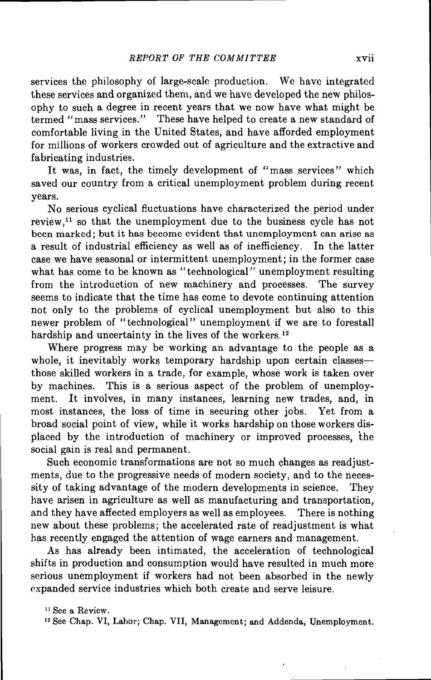services the philosophy of large-scale production. We have integrated these services and organized them, and we have developed the new philosophy to such a degree in recent years that we now have what might be termed "mass services." These have helped to create a new standard of comfortable living in the United States, and have afforded employment for millions of workers crowded out of agriculture and the extractive and fabricating industries.

It was, in fact, the timely development of "mass services" which saved our country from a critical unemployment problem during recent years.

No serious cyclical fluctuations have characterized the period under review,<sup>11</sup> so that the unemployment due to the business cycle has not been marked; but it has become evident that unemployment can arise as a result of industrial efficiency as well as of inefficiency. In the latter case we have seasonal or intermittent unemployment; in the former case what has come to be known as "technological" unemployment resulting from the introduction of new machinery and processes. The survey seems to indicate that the time has come to devote continuing attention not only to the problems of cyclical unemployment but also to this newer problem of "technological" unemployment if we are to forestall hardship and uncertainty in the lives of the workers.<sup>12</sup>

Where progress may be working an advantage to the people as a whole, it inevitably works temporary hardship upon certain classes those skilled workers in a trade, for example, whose work is taken over by machines. This is a serious aspect of the problem of unemployment. It involves, in many instances, learning new trades, and, in most instances, the loss of time in securing other jobs. Yet from a broad social point of view, while it works hardship on those workers displaced by the introduction of machinery or improved processes, the social gain is real and permanent.

Such economic transformations are not so much changes as readjustments, due to the progressive needs of modern society, and to the necessity of taking advantage of the modern developments in science. They have arisen in agriculture as well as manufacturing and transportation, and they have affected employers as well as employees. There is nothing new about these problems; the accelerated rate of readjustment is what has recently engaged the attention of wage earners and management.

As has already been intimated, the acceleration of technological shifts in production and consumption would have resulted in much more serious unemployment if workers had not been absorbed in the newly expanded service industries which both create and serve leisure.

<sup>11</sup> See a Review.

<sup>12</sup> See Chap. VI, Labor; Chap. VII, Management; and Addenda, Unemployment.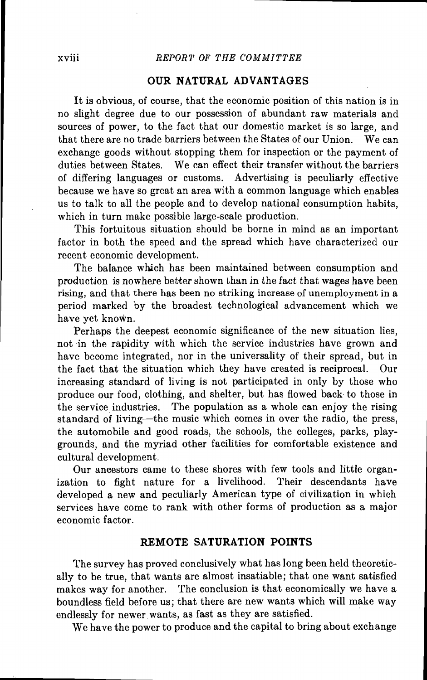#### xviii REPORT OF THE COMMITTEE

## OUR NATURAL ADVANTAGES

It is obvious, of course, that the economic position of this nation is in no slight degree due to our possession of abundant raw materials and sources of power, to the fact that our domestic market is so large, and that there are no trade barriers between the States of our Union. We can exchange goods without stopping them for inspection or the payment of duties between States. We can effect their transfer without the barriers of differing languages or customs. Advertising is peculiarly effective because we have so great an area with a common language which enables us to talk to all the people and to develop national consumption habits, which in turn make possible large-scale production.

This fortuitous situation should be borne in mind as an important factor in both the speed and the spread which have characterized our recent economic development.

The balance which has been maintained between consumption and production is nowhere better shown than in the fact that wages have been rising, and that there has been no striking increase of unemployment in a period marked by the broadest technological advancement which we have yet known.

Perhaps the deepest economic significance of the new situation lies, not in the rapidity with which the service industries have grown and have become integrated, nor in the universality of their spread, but in the fact that the situation which they have created is reciprocal. Our increasing standard of living is not participated in only by those who produce our food, clothing, and shelter, but has flowed back to those in the service industries. The population as a whole can enjoy the rising standard of living—the music which comes in over the radio, the press, the automobile and good roads, the schools, the colleges, parks, playgrounds, and the myriad other facilities for comfortable existence and cultural development.

Our ancestors came to these shores with few tools and little organization to fight nature for a livelihood. Their descendants have developed a new and peculiarly American type of civilization in which services have come to rank with other forms of production as a major economic factor.

## REMOTE SATURATION POINTS

The survey has proved conclusively what has long been held theoretically to be true, that wants are almost insatiable; that one want satisfied makes way for another. The conclusion is that economically we have a boundless field before us; that there are new wants which will make way endlessly for newer, wants, as fast as they are satisfied.

We have the power to produce and the capital to bring about exchange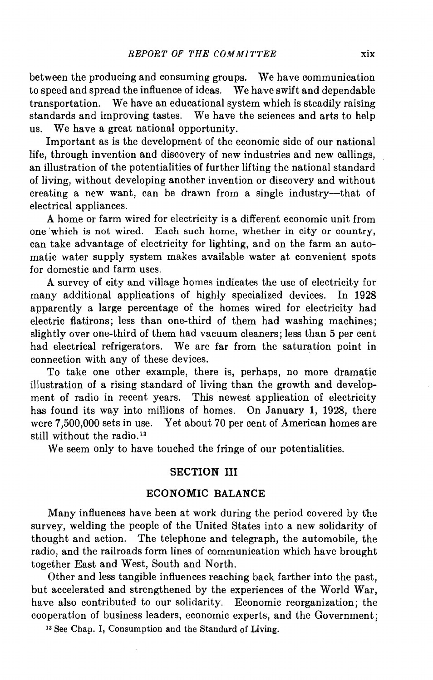between the producing and consuming groups. We have communication to speed and spread the influence of ideas. We have swift and dependable transportation. We have an educational system which is steadily raising standards and improving tastes. We have the sciences and arts to help us. We have a great national opportunity.

Important as is the development of the economic side of our national life, through invention and discovery of new industries and new callings, an illustration of the potentialities of further lifting the national standard of living, without developing another invention or discovery and without creating a new want, can be drawn from a single industry—that of electrical appliances.

A home or farm wired for electricity is a different economic unit from one 'which is not wired. Each such home, whether in city or country, can take advantage of electricity for lighting, and on the farm an automatic water supply system makes available water at convenient spots for domestic and farm uses.

A survey of city and village homes indicates the use of electricity for many additional applications of highly specialized devices. In 1928 apparently a large percentage of the homes wired for electricity had electric flatirons; less than one-third of them had washing machines; slightly over one-third of them had vacuum cleaners; less than 5 per cent had electrical refrigerators. We are far from the saturation point in connection with any of these devices.

To take one other example, there is, perhaps, no more dramatic illustration of a rising standard of living than the growth and development of radio in recent years. This newest application of electricity has found its way into millions of homes. On January 1, 1928, there were 7,500,000 sets in use. Yet about 70 per cent of American homes are still without the radio.<sup>13</sup>

We seem only to have touched the fringe of our potentialities.

## SECTION III

#### ECONOMIC BALANCE

Many influences have been at work during the period covered by survey, welding the people of the United States into a new solidarity of thought and action. The telephone and telegraph, the automobile, the radio, and the railroads form lines of communication which have brought together East and West, South and North.

Other and less tangible influences reaching back farther into the past, but accelerated and strengthened by the experiences of the World War, have also contributed to our solidarity. Economic reorganization; the cooperation of business leaders, economic experts, and the Government;

<sup>13</sup> See Chap. I, Consumption and the Standard of Living.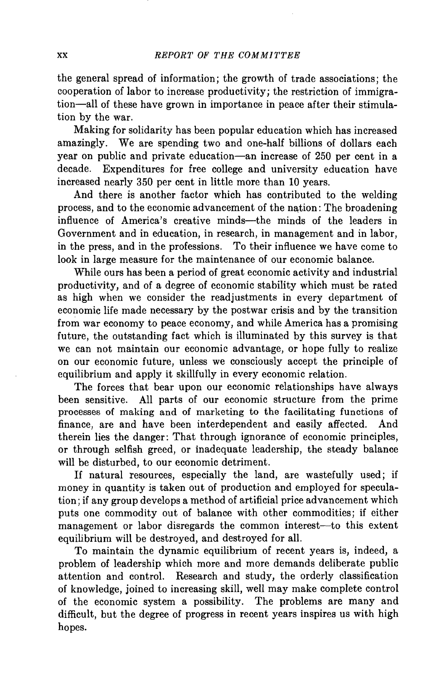the general spread of information; the growth of trade associations; the cooperation of labor to increase productivity; the restriction of immigration—all of these have grown in importance in peace after their stimulation by the war.

Making for solidarity has been popular education which has increased amazingly. We are spending two and one-half billions of dollars each year on public and private education—an increase of 250 per cent in a decade. Expenditures for free college and university education have increased nearly 350 per cent in little more than 10 years.

And there is another factor which has contributed to the welding process, and to the economic advancement of the nation: The broadening influence of America's creative minds—the minds of the leaders in Government and in education, in research, in management and in labor, in the press, and in the professions. To their influence we have come to look in large measure for the maintenance of our economic balance.

While ours has been a period of great economic activity and industrial productivity, and of a degree of economic stability which must be rated as high when we consider the readjustments in every department of economic life made necessary by the postwar crisis and by the transition from war economy to peace economy, and while America has a promising future, the outstanding fact which is illuminated by this survey is that we can not maintain our economic advantage, or hope fully to realize on our economic future, unless we consciously accept the principle of equilibrium and apply it skillfully in every economic relation.

The forces that bear upon our economic relationships have always been sensitive. All parts of our economic structure from the prime processes of making and of marketing to the facilitating functions of finance, are and have been interdependent and easily affected. And therein lies the danger: That through ignorance of economic principles, or through selfish greed, or inadequate leadership, the steady balance will be disturbed, to our economic detriment.

If natural resources, especially the land, are wastefully used; if money in quantity is taken out of production and employed for speculation; if any group develops a method of artificial price advancement which puts one commodity out of balance with other commodities; if either management or labor disregards the common interest—to this extent equilibrium will be destroyed, and destroyed for all.

To maintain the dynamic equilibrium of recent years is, indeed, a problem of leadership which more and more demands deliberate public attention and control. Research and study, the orderly classification of knowledge, joined to increasing skill, well may make complete control of the economic system a possibility. The problems are many and difficult, but the degree of progress in recent years inspires us with high hopes.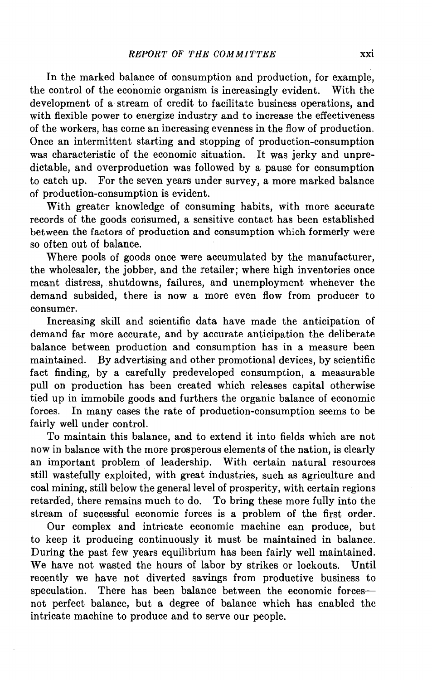In the marked balance of consumption and production, for example, the control of the economic organism is increasingly evident. With the development of a stream of credit to facilitate business operations, and with flexible power to energize industry and to increase the effectiveness of the workers, has come an increasing evenness in the flow of production. Once an intermittent starting and stopping of production-consumption was characteristic of the economic situation. It was jerky and unpredictable, and overproduction was followed by a pause for consumption to catch up. For the seven years under survey, a more marked balance of production-consumption is evident.

With greater knowledge of consuming habits, with more accurate records of the goods consumed, a sensitive contact has been established between the factors of production and consumption which formerly were so often out of balance.

Where pools of goods once were accumulated by the manufacturer, the wholesaler, the jobber, and the retailer; where high inventories once meant distress, shutdowns, failures, and unemployment whenever the demand subsided, there is now a more even flow from producer to consumer.

Increasing skill and scientific data have made the anticipation of demand far more accurate, and by accurate anticipation the deliberate balance between production and consumption has in a measure been maintained. By advertising and other promotional devices, by scientific fact finding, by a carefully predeveloped consumption, a measurable pull on production has been created which releases capital otherwise tied up in immobile goods and furthers the organic balance of economic forces. In many cases the rate of production-consumption seems to be fairly well under control.

To maintain this balance, and to extend it into fields which are not now in balance with the more prosperous elements of the nation, is clearly an important problem of leadership. With certain natural resources still wastefully exploited, with great industries, such as agriculture and coal mining, still below the general level of prosperity, with certain regions retarded, there remains much to do. To bring these more fully into the stream of successful economic forces is a problem of the first order.

Our complex and intricate economic machine can produce, but to keep it producing continuously it must be maintained in balance. During the past few years equilibrium has been fairly well maintained. We have not wasted the hours of labor by strikes or lockouts. Until recently we have not diverted savings from productive business to speculation. There has been balance between the economic forces not perfect balance, but a degree of balance which has enabled the intricate machine to produce and to serve our people.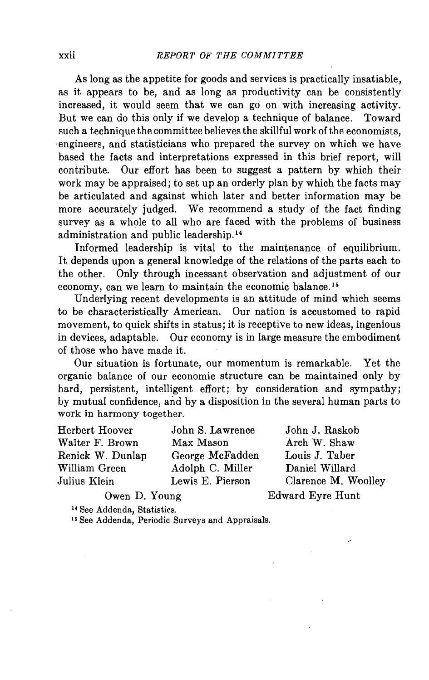As long as the appetite for goods and services is practically insatiable, as it appears to be, and as long as productivity can be consistently increased, it would seem that we can go on with increasing activity. But we can do this only if we develop a technique of balance. Toward such a technique the committee believes the skillful work of the economists, engineers, and statisticians who prepared the survey on which we have based the facts and interpretations expressed in this brief report, will contribute. Our effort has been to suggest a pattern by which their work may be appraised; to set up an orderly plan by which the facts may be articulated and against which later and better information may be more accurately judged. We recommend a study of the fact finding survey as a whole to all who are faced with the problems of business administration and public leadership.'4

Informed leadership is vital to the maintenance, of equilibrium. It depends upon a general knowledge of the relations of the parts each to the other. Only through incessant observation and adjustment of our economy, can we learn to maintain the economic balance.<sup>15</sup>

Underlying recent developments is an attitude of mind which seems to be characteristically American. Our nation is accustomed to rapid movement, to quick shifts in status; it is receptive to new ideas, ingenious in devices, adaptable. Our economy is in large measure the embodiment of those who have made it.

Our situation is fortunate, our momentum is remarkable. Yet the organic balance of our economic structure can be maintained only by hard, persistent, intelligent effort; by consideration and sympathy; by mutual confidence, and by a disposition in the several human parts to work in harmony together.

| Herbert Hoover   | John S. Lawrence |
|------------------|------------------|
| Walter F. Brown  | Max Mason        |
| Renick W. Dunlap | George McFadden  |
| William Green    | Adolph C. Miller |
| Julius Klein     | Lewis E. Pierson |

John J. Raskob Arch W. Shaw Louis J. Taber Daniel Willard Clarence M. Woolley Owen D. Young Edward Eyre Hunt

<sup>14</sup> See Addenda, Statistics.

<sup>15</sup> See Addenda, Periodic Surveys and Appraisals.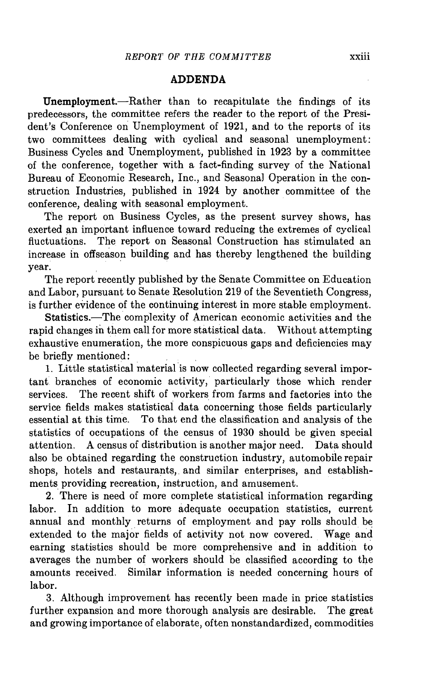#### ADDENDA

Unemployment.—Rather than to recapitulate the findings of its predecessors, the committee refers the reader to the report of the President's Conference on Unemployment of 1921, and to the reports of its two committees dealing with cyclical and seasonal unemployment: Business Cycles and Unemployment, published in 1923 by a committee of the conference, together with a fact-finding survey of the National Bureau of Economic Research, Inc., and Seasonal Operation in the construction Industries, published in 1924 by another committee of the conference, dealing with seasonal employment.

The report on Business Cycles, as the present survey shows, has exerted an important influence toward reducing the extremes of cyclical fluctuations. The report on Seasonal Construction has stimulated an increase in offseason building and has thereby lengthened the building year.

The report recently published by the Senate Committee on Education and Labor, pursuant to Senate Resolution 219 of the Seventieth Congress, is further evidence of the continuing interest in more stable employment.

Statistics.—The complexity of American economic activities and the rapid changes in them call for more statistical data. Without attempting exhaustive enumeration, the more conspicuous gaps and deficiencies may be briefly mentioned:

1. Little statistical material is now collected regarding several important. branches of economic activity, particularly those which render services. The recent shift of workers from farms and factories into the service fields makes statistical data concerning those fields particularly essential at this time. To that end the classification and analysis of the statistics of occupations of the census of 1930 should be given special attention. A census of distribution is another major need. Data should also be obtained regarding the construction industry, automobile repair shops, hotels and restaurants,, and similar enterprises, and establishments providing recreation, instruction, and amusement.

2. There is need of more complete statistical information regarding labor. In addition to more adequate occupation statistics, current. annual and monthly returns of employment and pay rolls should be extended to the major fields of activity not now covered. Wage and earning statistics should be more comprehensive and in addition to averages the number of workers should be classified according to the amounts received. Similar information is needed concerning hours of labor.

3. Although improvement has recently been made in price statistics further expansion and more thorough analysis are desirable. The great and growing importance of elaborate, often nonstandardized, commodities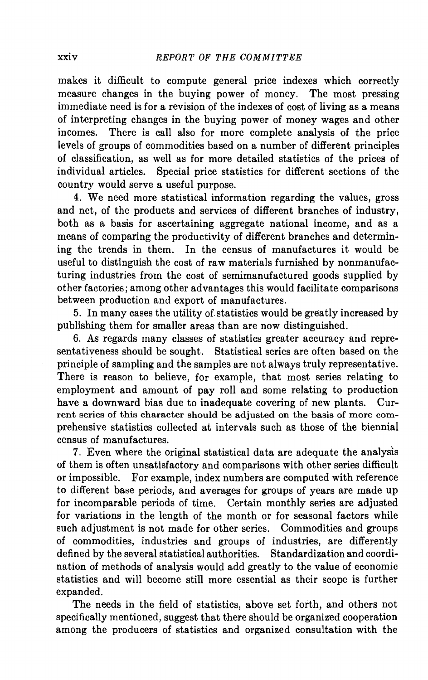makes it difficult to compute general price indexes which correctly measure changes in the buying power of money. The most pressing immediate need is for a revision of the indexes of cost of living as a means of interpreting changes in the buying power of money wages and other incomes. There is call also for more complete analysis of the price levels of groups of commodities based on a number of different principles of classification, as well as for more detailed statistics of the prices of individual articles. Special price statistics for different sections of the country would serve a useful purpose.

4. We need more statistical information regarding the values, gross and net, of the products and services of different branches of industry, both as a basis for ascertaining aggregate national income, and as a means of comparing the productivity of different branches and determining the trends in them. In the census of manufactures it would be useful to distinguish the cost of raw materials furnished by nonmanufacturing industries from the cost of semimanufactured goods supplied by other factories; among other advantages this would facilitate comparisons between production and export of manufactures.

5. In many cases the utility of. statistics would be greatly increased by publishing them for smaller areas than are now distinguished.

6. As regards many classes of statistics greater accuracy and representatiyeness should be sought. Statistical series are often based on the principle of sampling and the samples are not always truly representative. There is reason to believe, for example, that most series relating to employment and amount of pay roll and some relating to production have a downward bias due to inadequate covering of new plants. Current series of this character should be adjusted on the basis of more comprehensive statistics collected at intervals such as those of the biennial census of manufactures.

7. Even where the original statistical data are adequate the analysis of them is often unsatisfactory and comparisons with other series difficult or impossible. For example, index numbers are computed with reference to different base periods, and averages for groups of years are made up for incomparable periods of time. Certain monthly series are adjusted for variations in the length of the month or for seasonal factors while such adjustment is not made for other series. Commodities and groups of commodities, industries and groups of industries, are differently defined by the several statistical authorities. Standardization and coordination of methods of analysis would add greatly to the value of economic statistics and will become still more essential as their scope is further expanded.

The needs in the field of statistics, above set forth, and others not specifically mentioned, suggest that there should be organized cooperation among the producers of statistics and organized consultation with the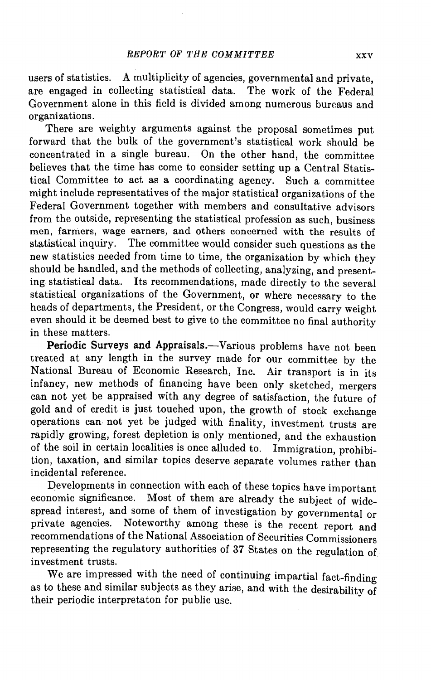users of statistics. A multiplicity of agencies, governmental and private, are engaged in collecting statistical data. The work of the Federal Government alone in this field is divided among numerous bureaus and organizations.

There are weighty arguments against the proposal sometimes put forward that the bulk of the government's statistical work should be concentrated in a single bureau. On the other hand, the committee believes that the time has come to consider setting up a Central Statistical Committee to act as a coordinating agency. Such a committee might include representatives of the major statistical organizations of the Federal Government together with members and consultative advisors from the outside, representing the statistical profession as such, business men, farmers, wage earners, and others concerned with the results of statistical inquiry. The committee would consider such questions as the new statistics needed from time to time, the organization by which they should be handled, and the methods of collecting, analyzing, and presenting statistical data. Its recommendations, made directly to the several statistical organizations of the Government, or where necessary to the heads of departments, the President, or the Congress, would carry weight even should it be deemed best to give to the committee no final authority in these matters.

Periodic Surveys and Appraisals.—Various problems have not been treated at any length in the survey made for our committee by the National Bureau of Economic Research, Inc. Air transport is in its can not yet be appraised with any degree of satisfaction, the future of gold and of credit is just touched upon, the growth of stock exchange operations can not yet be judged with finality, investment trusts are rapidly growing, forest depletion is only mentioned, and the exhaustion of the soil in certain localities is once alluded to. Immigration, prohibition, taxation, and similar topics deserve separate volumes rather than incidental reference.

Developments in connection with each of these topics have important economic significance. Most of them are already the subject of widespread interest, and some of them of investigation by governmental or private agencies. Noteworthy among these is the recent report and recommendations of the National Association of Securities Commissioners representing the regulatory authorities of 37 States on the regulation of investment trusts.

We are impressed with the need of continuing impartial fact-finding as to these and similar subjects as they arise, and with the desirability of their periodic interpretaton for public use.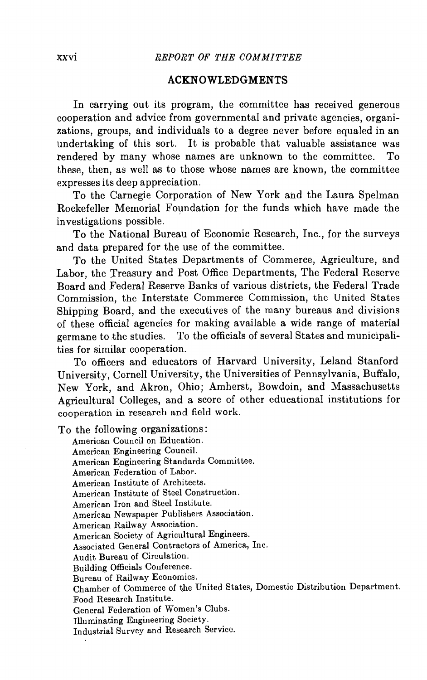#### ACKNOWLEDGMENTS

In carrying out its program, the committee has received generous cooperation and advice from governmental and private agencies, organizations, groups, and individuals to a degree never before equaled in an undertaking of this sort. It is probable that valuable assistance was rendered by many whose names are unknown to the committee. To these, then, as well as to those whose names are known, the committee expresses its deep appreciation.

To the Carnegie Corporation of New York and the Laura Spelman Rockefeller Memorial Foundation for the funds which have made the investigations possible.

To the National Bureau of Economic Research, Inc., for the surveys and data prepared for the use of the committee.

To the United States Departments of Commerce, Agriculture, and Labor, the Treasury and Post Office Departments, The Federal Reserve Board and Federal Reserve Banks of various districts, the Federal Trade Commission, the Interstate Commerce Commission, the United States Shipping Board, and the executives of the many bureaus and divisions of these official agencies for making available a wide range of material germane to the studies. To the officials of several States and municipalities for similar cooperation.

To officers and educators of Harvard University, Leland Stanford University, Cornell University, the Universities of Pennsylvania, Buffalo, New York, and Akron, Ohio; Amherst, Bowdoin, and Massachusetts Agricultural Colleges, and a score of other educational institutions for cooperation in research and field work.

To the following organizations:

American Council on Education. American Engineering Council. American Engineering Standards Committee. American Federation of Labor. American Institute of Architects. American Institute of Steel Construction. American Iron and Steel Institute. American Newspaper Publishers Association. American Railway Association. American Society of Agricultural Engineers. Associated General Contractors of America, Inc. Audit Bureau of Circulation. Building Officials Conference. Bureau of Railway Economics. Chamber of Commerce of the United States, Domestic Distribution Department. Food Research Institute. General Federation of Women's Clubs. Illuminating Engmeering Society. Industrial Survey and Research Service.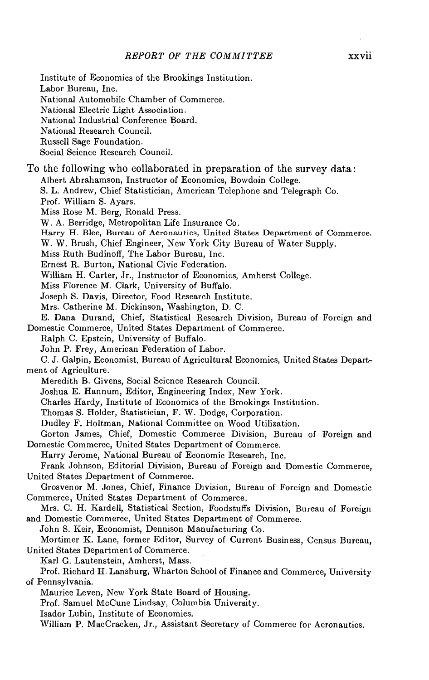Institute of Economics of the Brookings Institution. Labor Bureau, Inc. National Automobile Chamber of Commerce. National Electric Light Association. National Industrial Conference Board. National Research Council. Russell Sage Foundation. Social Science Research Council. To the following who collaborated in preparation of the survey data: Albert Abrahamson, Instructor of Economics, Bowdoin College. S. L. Andrew, Chief Statistician, American Telephone and Telegraph Co. Prof. William S. Ayars. Miss Rose M. Berg, Ronald Press. W. A. Berridge, Metropolitan Life Insurance Co. Harry H. Blee, Bureau of Aeronautics; United States Department of Commerce. W. W. Brush, Chief Engineer, New York City Bureau of Water Supply. Miss Ruth Budinoff, The Labor Bureau, Inc. Ernest R. Burton, National Civic Federation. William H. Carter, Jr., Instructor of Economics, Amherst College. Miss Florence M. Clark, University of Buffalo. Joseph S. Davis, Director, Food Research Institute. Mrs. Catherine M. Dickinson, Washington, D. C. E. Dana Durand, Chief, Statistical Research Division, Bureau of Foreign and Domestic Commerce, United States Department of Commerce. Ralph C. Epstein, University of Buffalo. John P. Frey, American Federation of Labor. C. J. Galpin, Economist, Bureau of Agricultural Economics, United States Department of Agriculture. Meredith B. Givens, Social Science Research Council. Joshua E. Hannum, Editor, Engineering Index, New York. Charles Hardy, Institute of Economics of the Brookings Institution. Thomas S. Holder, Statistician, F. W. Dodge, Corporation. Dudley F. Hoitman, National Committee on Wood Utilization. Gorton James, Chief, Domestic Commerce Division, Bureau of Foreign and Domestic Commerce, United States Department of Commerce. Harry Jerome, National Bureau of Economic Research, Inc. Frank Johnson, Editorial Division, Bureau of Foreign and Domestic Commerce, United States Department of Commerce. Grosvenor M. Jones, Chief, Finance Division, Bureau of Foreign and Domestic Commerce, United States Department of Commerce. Mrs. C. H. Kardell, Statistical Section, Foodstuffs Division, Bureau of Foreign and Domestic Commerce, United States Department of Commerce. John S. Keir, Economist, Dennison Manufacturing Co. Mortimer K. Lane, former Editor, Survey of Current Business, Census Bureau, United States Department of Commerce. Karl G. Lautenstein, Amherst, Mass. Prof. Richard H. Lansburg, Wharton School of Finance and Commerce, University of Pennsylvania. Maurice Leven, New York State Board of Housing. Prof. Samuel McCune Lindsay, Columbia University. Isador Lubin, Institute of Economics. William P. MacCracken, Jr., Assistant Secretary of Commerce for Aeronautics.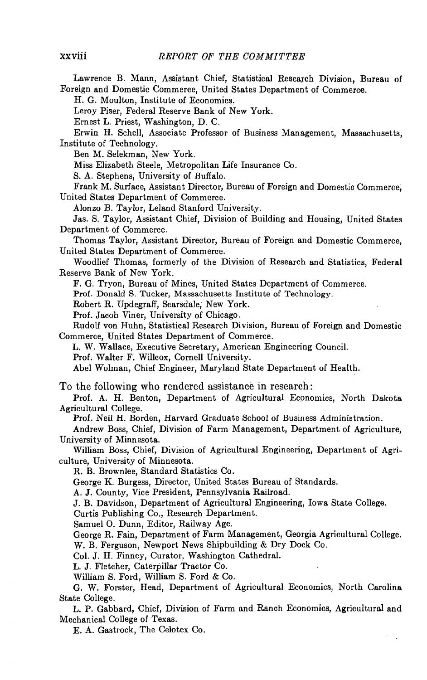Lawrence B. Mann, Assistant Chief, Statistical Research Division, Bureau of Foreign and Domestic Commerce, United States Department of Commerce. H. G. Moulton, Institute of Economics. Leroy Piser, Federal Reserve Bank of New York. Ernest L. Priest, Washington, D. C. Erwin H. Schell, Associate Professor of BUsiness Management, Massachusetts, Institute of Technology. Ben M. Selekman, New York. Miss Elizabeth Steele, Metropolitan Life Insurance Co. S. A. Stephens, University of Buffalo. Frank M. Surface, Assistant Director, Bureau of Foreign and Domestic Commerce; United States Department of Commerce. Alonzo B. Taylor, Leland Stanford University. Jas. S. Taylor, Assistant Chief, Division of Building and Housing, United States Department of Commerce. Thomas Taylor, Assistant Director, Bureau of Foreign and Domestic Commerce, United States Department of Commerce. Woodlief Thomas, formerly of the Division of Research and Statistics, Federal Reserve Bank of New York. F. G. Tryon, Bureau of Mines, United States Department of Commerce. Prof. Donald S. Tucker, Massachusetts Institute of Technology. Robert R. IJpdegraff, Scarsdale; New York. Prof. Jacob Viner, University of Chicago. Rudolf von Huhn, Statistical Research Division, Bureau of Foreign and Domestic Commerce, United States Department of Commerce. L. W. Wallace, Executive Secretary, American Engineering Council. Prof. Walter F. Wilicox, Cornell University. Abel Wolman, Chief Engineer, Maryland State Department of Health. To the following who rendered assistance in research: Prof. A. H. Benton, Department of Agricultural Economics, North Dakota Agricultural College. Prof. Neil H. Borden, Harvard Graduate School of Business Administration. Andrew Boss, Chief, Division of Farm Management, Department of Agriculture, University of Minnesota. William Boss, Chief, Division of Agricultural Engineering, Department of Agriculture, University of Minnesota. R. B. Brownlee, Standard Statistics Co. George K. Burgess, Director, United States Bureau of Standards. A. J. County, Vice President, Pennsylvania Railroad. J. B. Davidson, Department of Agricultural Engineering, Iowa State College. Curtis Publishing Co., Research Department. Samuel 0. Dunn, Editor, Railway Age. George R. Fain, Department of Farm Management, Georgia Agricultural College. W. B. Ferguson, Newport News Shipbuilding & Dry Dock Co. Col. J. H. Finney, Curator, Washington Cathedral. L. J. Fletcher, Caterpillar Tractor Co. William S. Ford, William S. Ford & Co. G. W. Forster, Head, Department of Agricultural Economics, North Carolina State College. L. P. Gabbard, Chief, Division of Farm and Ranch Economics, Agricultural and Mechanical College of Texas. E. A. Gastrock, The Celotex Co.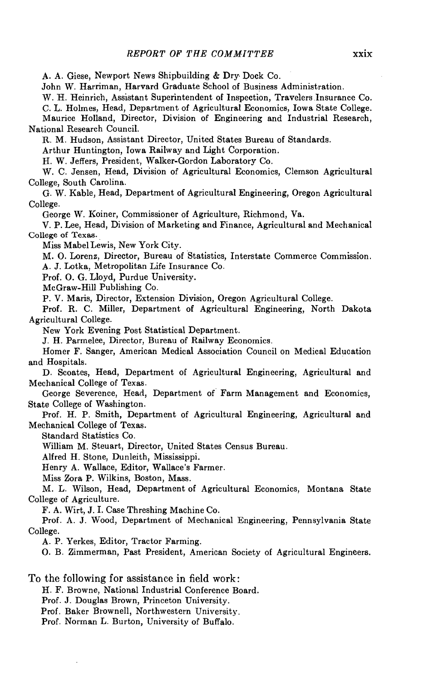A. A. Giese, Newport News Shipbuilding & Dry' Dock Co.

John W. Harriman, Harvard Graduate School of Business Administration.

W. H. Heinrich, Assistant Superintendent of Inspection, Travelers Insurance Co.

C. L. Holmes, Head, Department of Agricultural Economics, Iowa State College. Maurice Holland, Director, Division of Engineering and Industrial Research, National Research Council.

R. M. Hudson, Assistant Director, United States Bureau of Standards.

Arthur Huntington, Iowa Railway and Light Corporation.

H. W. Jeffers, President, Walker-Gordon Laboratory Co.

W. C. Jensen, Head, Division of Agricultural Economics, Clemson Agricultural College, South Carolina.

G. W. Kable, Head, Department of Agricultural Engineering, Oregon Agricultural College.

George W. ICoiner, Commissioner of Agriculture, Richmond, Va.

V. P. Lee, Head, Division of Marketing and Finance, Agricultural and Mechanical College of Texas.

Miss Mabel Lewis, New York City.

M. 0. Lorenz, Director, Bureau of Statistics, Interstate Commerce Commission.

A. J. Lotka, Metropolitan Life Insurance Co.

Prof. 0. G. Lloyd, Purdue University.

McGraw-Hill Publishing Co.

P. V. Maris, Director, Extension Division, Oregon Agricultural College.

Prof. R. C. Miller, Department of Agricultural Engineering, North Dakota Agricultural College.

New York Evening Post Statistical Department.

J. H. Parmelee, Director, Bureau of Railway Economics.

Homer F. Sanger, American Medical Association Council on Medical Education and Hospitals.

D. Scoates, Head, Department of Agricultural Engineering, Agricultural and Mechanical College of Texas.

George Severence, Head, Department of Farm Management and Economics, State College of Washington.

Prof. H. P. Smith, Department of Agricultural Engineering, Agricultural and Mechanical College of Texas.

Standard Statistics Co.

William M. Steuart, Director, United States Census Bureau.

Alfred H. Stone, Dunleith, Mississippi.

Henry A. Wallace, Editor, Wallace's Farmer.

Miss Zora P. Wilkins, Boston, Mass.

M. L. Wilson, Head, Department of Agricultural Economics, Montana State College of Agriculture.

F. A. Wirt, J. I. Case Threshing Machine Co.

Prof. A. J. Wood, Department of Mechanical Engineering, Pennsylvania State College.

A. P. Yerkes, Editor, Tractor Farming.

0. B. Zimmerman, Past President, American Society of Agricultural Engineers.

To the following for assistance in field work:

H. F. Browne, National Industrial Conference Board.

Prof. J. Douglas Brown, Princeton University.

Prof. Baker Brownell, Northwestern University.

Prof. Norman L. Burton, University of Buffalo.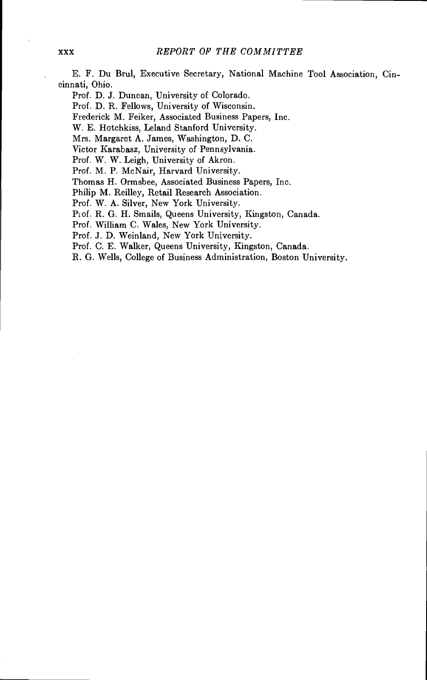E. F. Du Brul, Executive Secretary, National Machine Tool Association, Cincinnati, Ohio.

Prof. D. J. Duncan, University of Colorado.

Prof. D. R. Fellows, University of Wisconsin.

Frederick M. Feiker, Associated Business Papers, Inc.

W. E. Hotchkiss, Leland Stanford University.

Mrs. Margaret A. James, Washington, D. C.

Victor Karabasz, University of Pennsylvania.

Prof. W. W. Leigh, University of Akron.

Prof. M. P. McNair, Harvard University.

Thomas H. Ormsbee, Associated Business Papers, Inc.

Philip M. Reilley, Retail Research Association.

Prof. W. A. Silver, New York University.

Prof. R. G. H. Smails, Queens University, Kingston, Canada.

Prof. William C. Wales, New York University.

Prof. J. D. Weinland, New York University.

Prof. C. E. Walker, Queens University, Kingston, Canada.

R. G. Wells, College of Business Administration, Boston University.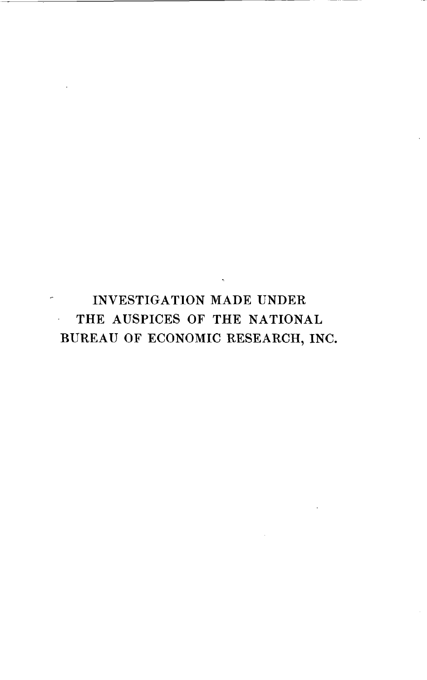## INVESTIGATiON MADE UNDER THE AUSPICES OF THE NATIONAL  $\omega_{\rm{eff}}$ BUREAU OF ECONOMIC RESEARCH, INC.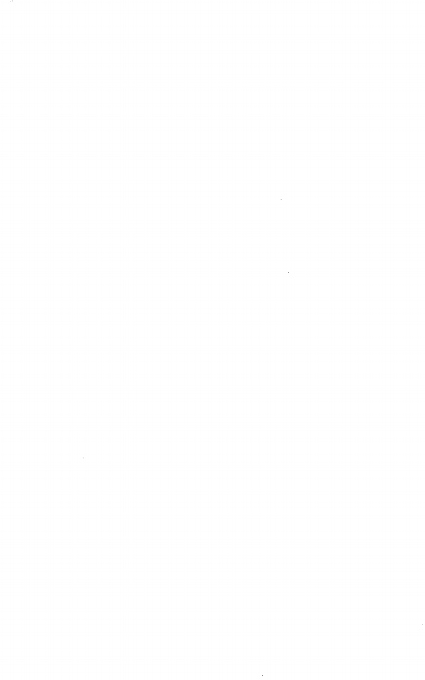$\label{eq:2.1} \frac{1}{\sqrt{2}}\left(\frac{1}{\sqrt{2}}\right)^{2} \left(\frac{1}{\sqrt{2}}\right)^{2} \left(\frac{1}{\sqrt{2}}\right)^{2} \left(\frac{1}{\sqrt{2}}\right)^{2} \left(\frac{1}{\sqrt{2}}\right)^{2} \left(\frac{1}{\sqrt{2}}\right)^{2} \left(\frac{1}{\sqrt{2}}\right)^{2} \left(\frac{1}{\sqrt{2}}\right)^{2} \left(\frac{1}{\sqrt{2}}\right)^{2} \left(\frac{1}{\sqrt{2}}\right)^{2} \left(\frac{1}{\sqrt{2}}\right)^{2} \left(\$  $\label{eq:2.1} \frac{1}{\sqrt{2\pi}}\int_{0}^{\infty} \frac{1}{\sqrt{2\pi}}\left(\frac{1}{\sqrt{2\pi}}\right)^{2\alpha} \frac{1}{\sqrt{2\pi}}\frac{1}{\sqrt{2\pi}}\int_{0}^{\infty} \frac{1}{\sqrt{2\pi}}\frac{1}{\sqrt{2\pi}}\frac{1}{\sqrt{2\pi}}\frac{1}{\sqrt{2\pi}}\frac{1}{\sqrt{2\pi}}\frac{1}{\sqrt{2\pi}}\frac{1}{\sqrt{2\pi}}\frac{1}{\sqrt{2\pi}}\frac{1}{\sqrt{2\pi}}\frac{1}{\sqrt{2\pi}}\$  $\label{eq:2.1} \mathcal{L}_{\mathcal{A}}(\mathcal{A}) = \mathcal{L}_{\mathcal{A}}(\mathcal{A}) = \mathcal{L}_{\mathcal{A}}(\mathcal{A}) = \mathcal{L}_{\mathcal{A}}(\mathcal{A})$ 

ł,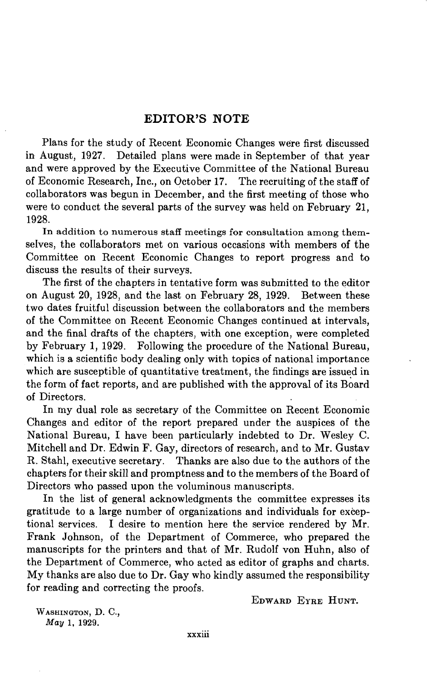## EDITOR'S NOTE

Plans for the study of Recent Economic Changes were first discussed in August, 1927. Detailed plans were made in September of that year and were approved by the Executive Committee of the National Bureau of Economic Research, Inc., on Qctober 17. The recruiting of the staff of collaborators was begun in December, and the first meeting of those who were to conduct the several parts of the survey was held on February 21, 1928.

In addition to numerous staff meetings for consultation among themselves, the collaborators met on various occasions with members of the Committee on Recent Economic Changes to report progress and to discuss the results of their surveys.

The first of the chapters in tentative form was submitted to the editor on August 20, 1928, and the last on February 28, 1929. Between these two dates fruitful discussion between the collaborators and the members of the Committee on Recent Economic Changes continued at intervals, and the final drafts of the chapters, with one exception, were completed by February 1, 1929. Following the procedure of the National Bureau, which is a scientific body dealing only with topics of national importance which are susceptible of quantitative treatment, the findings are issued in the form of fact reports, and are published with the approval of its Board of Directors.

In my dual role as secretary of the Committee on Recent Economic Changes and editor of the report prepared under the auspices of the National Bureau, I have been particularly indebted to Dr. Wesley C. Mitchell and Dr. Edwin F. Gay, directors of research, and to Mr. Gustav R. Stahl, executive secretary. Thanks are also due to the authors of the chapters for their skill and promptness and to the members of the Board of Directors who passed upon the voluminous manuscripts.

In the list of general acknowledgments the committee expresses its gratitude to a large number of organizations and individuals for exãeptional services. I desire to mention here the service rendered by Mr. Frank Johnson, of the Department of Commerce, who prepared the manuscripts for the printers and that of Mr. Rudolf von Huhn, also of the Department of Commerce, who acted as editor of graphs and charts. My thanks are also due to Dr. Gay who kindly assumed the responsibility for reading and correcting the proofs.

EDWARD EYRE HUNT.

WASHINGTON, D. C., May 1, 1929.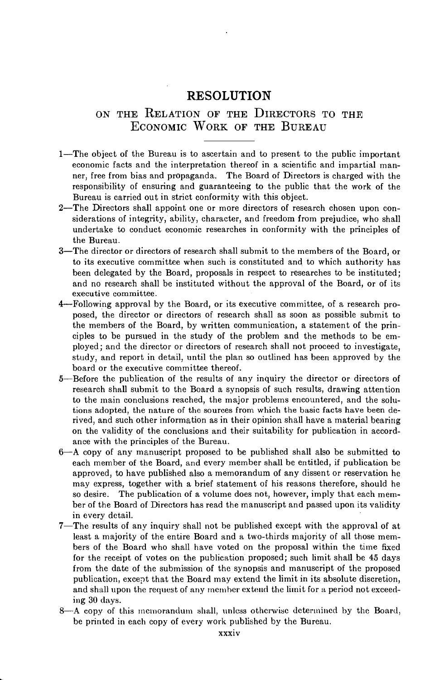## RESOLUTION

## ON THE RELATION OF THE DIRECTORS TO THE ECONOMIC WORK OF THE BUREAU

- 1—The object of the Bureau is to ascertain and to present to the public important economic facts and the interpretation thereof in a scientific and impartial manner, free from bias and propaganda. The Board of Directors is charged with the responsibility of ensuring and guaranteeing to the public that the work of the Bureau is carried out in strict conformity with this object.
- 2—The Directors shall appoint one or more directors of research chosen upon considerations of integrity, ability, character, and freedom from prejudice, who shall undertake to conduct economic researches in conformity with the principles of the Bureau.
- 3—The director or directors of research shall submit to the members of the Board, or to its executive committee when such is constituted an4 to which authority has been delegated by the Board, proposals in respect to researches to be instituted; and no research shall be instituted without the approval of the Board, or of its executive committee.
- 4—Following approval by the Board, or its executive committee, of a research proposed, the director or directors of research shall as soon as possible submit to the members of the Board, by written communication, a statement of the principles to be pursued in the study of the problem and the methods to be employed; and the director or directors of research shall not proceed to investigate, study, and report in detail, until the plan so outlined has been approved by the board or the executive committee thereof.
- 5—Before the publication of the results of any inquiry the director or directors of research shall submit to the Board a synopsis of such results, drawing attention to the main conclusions reached, the major problems encountered, and the solutions adopted, the nature of the sources from which the basic facts have been derived, and such other information as in their opinion shall have a material bearing on the validity of the conclusions and their suitability for publication in accordance with the principles of the Bureau.
- 6—A copy of any manuscript proposed to be published shall also be submitted to each member of the Board, and every member shall be entitled, if publication be approved, to have published also a memorandum of any dissent or reservation he may express, together with a brief statement of his reasons therefore, should he so desire. The publication of a volume does not, however, imply that each member of the Board of Directors has read the manuscript and passed upon its validity in every detail.
- 7—The results of any inquiry shall not he published except with the approval of at least a majority of the entire Board and a two-thirds majority of all those members of the Board who shall have voted on the proposal within the tune fixed for the receipt of votes on the publication proposed; such limit shall be 45 days from the date of the submission of the synopsis and manuscript of the proposed publication, except that the Board may extend the limit in its absolute discretion, and shall upon the request of any memher extend the limit for a period not exceed ing 30 days.
- 8—A copy of this memorandum shall, unless otherwise determined by the Board, be printed in each copy of every work published by the Bureau.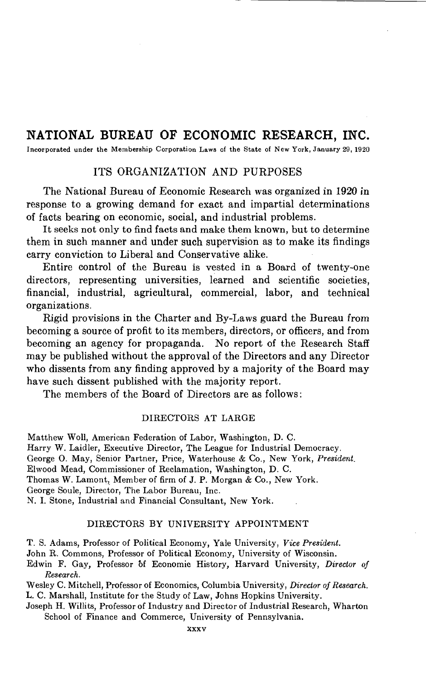## NATIONAL BUREAU OF ECONOMIC RESEARCH, INC.

Incorporated under the Membership Corporation Laws of the State of New York, January 29, 1920

## ITS ORGANIZATION AND PURPOSES

The National Bureau of Economic Research was organized in 1920 in response to a growing demand for exact and impartial determinations of facts bearing on economic, social, and industrial problems.

It seeks not only to find facts and make them known, but to determine them in such manner and under such supervision as to make its findings carry conviction to Liberal and Conservative alike.

Entire control of the Bureau is vested in a BOard of twenty-one directors, representing universities, learned and scientific societies, financial, industrial, agricultural, commercial, labor, and technical organizations.

Rigid provisions in the Charter and By-Laws guard the Bureau from becoming a source of profit to its members, directors, or officers, and from becoming an agency for propaganda. No report of the Research Staff may be published without the approval of the Directors and any Director who dissents from any finding approved by a majority of the Board may have such dissent published with the majority report.

The members of the Board of Directors are as follows:

#### DIRECTORS AT LARGE

Matthew Woll, American Federation of Labor, Washington, D. C. Harry W. Laidler, Executive Director, The League for Industrial Democracy. George 0. May, Senior Partner, Price, Waterhouse & Co., New York, President. Elwood Mead, Commissioner of Reclamation, Washington, D. C. Thomas W. Lamont, Member of firm of J. P. Morgan & Co., New York. George Soule, Director, The Labor Bureau, Inc. N. I. Stone, Industrial and Financial Consultant, New York.

#### DIRECTORS BY UNIVERSITY APPOINTMENT

T. S. Adams, Professor of Political Economy, Yale University, Vice President. John R. Commons, Professor of Political Economy, University of Wisconsin. Edwin F. Gay, Professor of Economic History, Harvard University, Director of Research.

Wesley C. Mitchell, Professor of Economics, Columbia University, Director of Research. L. C. Marshall, Institute for the Study of Law, Johns Hopkins University.

Joseph H. Willits, Professor of Industry and Director of Industrial Research, Wharton School of Finance and Commerce, University of Pennsylvania.